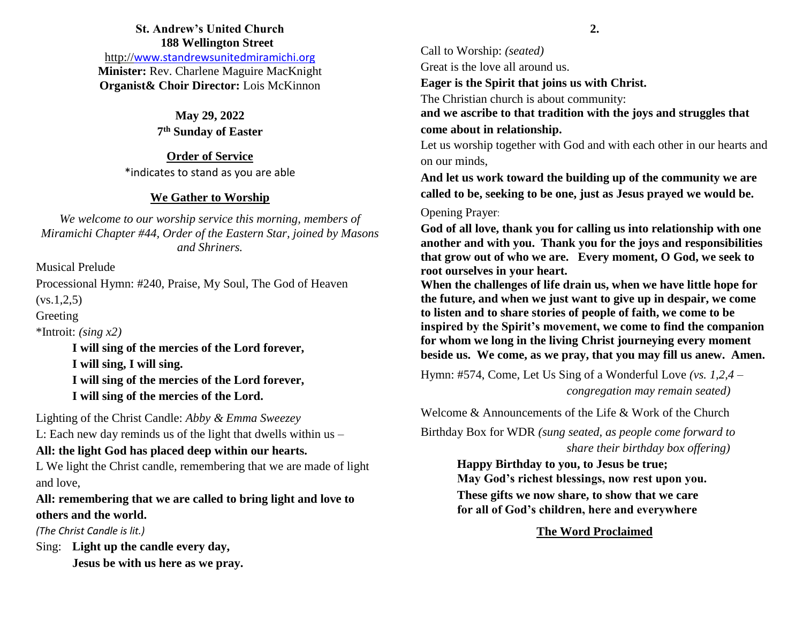### **St. Andrew's United Church 188 Wellington Street**

http://[www.standrewsunitedmiramichi.org](http://www.standrewsunitedmiramichi.org/) **Minister:** Rev. Charlene Maguire MacKnight **Organist& Choir Director:** Lois McKinnon

> **May 29, 2022 7 th Sunday of Easter**

**Order of Service** \*indicates to stand as you are able

### **We Gather to Worship**

*We welcome to our worship service this morning, members of Miramichi Chapter #44, Order of the Eastern Star, joined by Masons and Shriners.*

Musical Prelude

Processional Hymn: #240, Praise, My Soul, The God of Heaven  $(vs.1, 2, 5)$ 

Greeting

\*Introit: *(sing x2)*

**I will sing of the mercies of the Lord forever, I will sing, I will sing. I will sing of the mercies of the Lord forever, I will sing of the mercies of the Lord.**

Lighting of the Christ Candle: *Abby & Emma Sweezey*

L: Each new day reminds us of the light that dwells within us –

# **All: the light God has placed deep within our hearts.**

L We light the Christ candle, remembering that we are made of light and love,

**All: remembering that we are called to bring light and love to others and the world.**

*(The Christ Candle is lit.)*

Sing: **Light up the candle every day, Jesus be with us here as we pray.** Call to Worship: *(seated)* Great is the love all around us.

**Eager is the Spirit that joins us with Christ.**

The Christian church is about community:

**and we ascribe to that tradition with the joys and struggles that come about in relationship.**

Let us worship together with God and with each other in our hearts and on our minds,

**And let us work toward the building up of the community we are called to be, seeking to be one, just as Jesus prayed we would be.** 

Opening Prayer:

**God of all love, thank you for calling us into relationship with one another and with you. Thank you for the joys and responsibilities that grow out of who we are. Every moment, O God, we seek to root ourselves in your heart.** 

**When the challenges of life drain us, when we have little hope for the future, and when we just want to give up in despair, we come to listen and to share stories of people of faith, we come to be inspired by the Spirit's movement, we come to find the companion for whom we long in the living Christ journeying every moment beside us. We come, as we pray, that you may fill us anew. Amen.**

Hymn: #574, Come, Let Us Sing of a Wonderful Love *(vs. 1,2,4 – congregation may remain seated)*

Welcome & Announcements of the Life & Work of the Church

Birthday Box for WDR *(sung seated, as people come forward to share their birthday box offering)*

> **Happy Birthday to you, to Jesus be true; May God's richest blessings, now rest upon you.**

**These gifts we now share, to show that we care for all of God's children, here and everywhere**

# **The Word Proclaimed**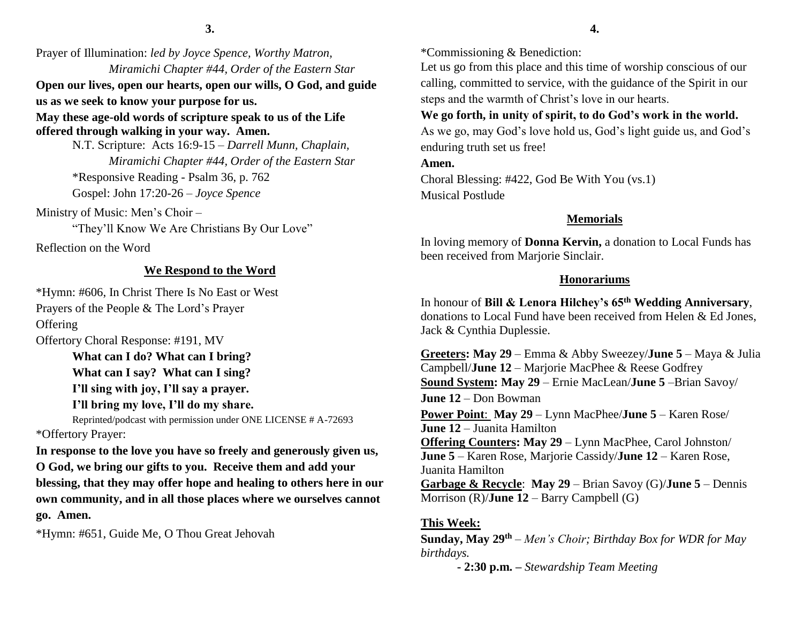Prayer of Illumination: *led by Joyce Spence, Worthy Matron, Miramichi Chapter #44, Order of the Eastern Star* **Open our lives, open our hearts, open our wills, O God, and guide us as we seek to know your purpose for us. May these age-old words of scripture speak to us of the Life offered through walking in your way. Amen.**

N.T. Scripture: Acts 16:9-15 – *Darrell Munn, Chaplain, Miramichi Chapter #44, Order of the Eastern Star* \*Responsive Reading - Psalm 36, p. 762 Gospel: John 17:20-26 – *Joyce Spence*

Ministry of Music: Men's Choir –

"They'll Know We Are Christians By Our Love"

Reflection on the Word

#### **We Respond to the Word**

\*Hymn: #606, In Christ There Is No East or West Prayers of the People & The Lord's Prayer **Offering** Offertory Choral Response: #191, MV

> **What can I do? What can I bring? What can I say? What can I sing? I'll sing with joy, I'll say a prayer.**

**I'll bring my love, I'll do my share.** Reprinted/podcast with permission under ONE LICENSE # A-72693

\*Offertory Prayer:

**In response to the love you have so freely and generously given us, O God, we bring our gifts to you. Receive them and add your blessing, that they may offer hope and healing to others here in our own community, and in all those places where we ourselves cannot go. Amen.**

\*Hymn: #651, Guide Me, O Thou Great Jehovah

\*Commissioning & Benediction:

Let us go from this place and this time of worship conscious of our calling, committed to service, with the guidance of the Spirit in our steps and the warmth of Christ's love in our hearts.

## **We go forth, in unity of spirit, to do God's work in the world.**

As we go, may God's love hold us, God's light guide us, and God's enduring truth set us free!

**Amen.**

Choral Blessing: #422, God Be With You (vs.1) Musical Postlude

### **Memorials**

In loving memory of **Donna Kervin,** a donation to Local Funds has been received from Marjorie Sinclair.

### **Honorariums**

In honour of **Bill & Lenora Hilchey's 65th Wedding Anniversary**, donations to Local Fund have been received from Helen & Ed Jones, Jack & Cynthia Duplessie.

**Greeters: May 29** – Emma & Abby Sweezey/**June 5** – Maya & Julia Campbell/**June 12** – Marjorie MacPhee & Reese Godfrey **Sound System: May 29** – Ernie MacLean/**June 5** –Brian Savoy/ **June 12** – Don Bowman **Power Point**: **May 29** – Lynn MacPhee/**June 5** – Karen Rose/ **June 12** – Juanita Hamilton **Offering Counters: May 29** – Lynn MacPhee, Carol Johnston/ **June 5** – Karen Rose, Marjorie Cassidy/**June 12** – Karen Rose, Juanita Hamilton **Garbage & Recycle**: **May 29** – Brian Savoy (G)/**June 5** – Dennis Morrison (R)/**June 12** – Barry Campbell (G)

### **This Week:**

**Sunday, May 29th** – *Men's Choir; Birthday Box for WDR for May birthdays.* 

**- 2:30 p.m. –** *Stewardship Team Meeting*